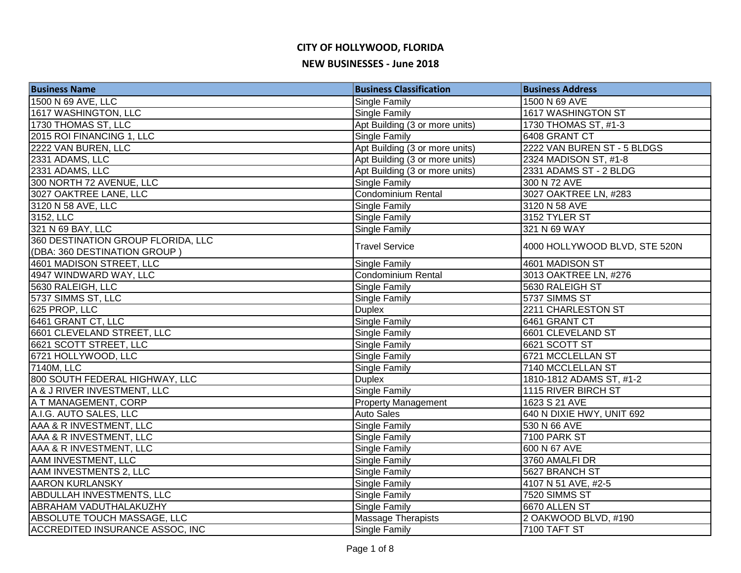| <b>Business Name</b>                   | <b>Business Classification</b> | <b>Business Address</b>       |
|----------------------------------------|--------------------------------|-------------------------------|
| 1500 N 69 AVE, LLC                     | Single Family                  | 1500 N 69 AVE                 |
| 1617 WASHINGTON, LLC                   | Single Family                  | 1617 WASHINGTON ST            |
| 1730 THOMAS ST, LLC                    | Apt Building (3 or more units) | 1730 THOMAS ST, #1-3          |
| 2015 ROI FINANCING 1, LLC              | Single Family                  | 6408 GRANT CT                 |
| 2222 VAN BUREN, LLC                    | Apt Building (3 or more units) | 2222 VAN BUREN ST - 5 BLDGS   |
| 2331 ADAMS, LLC                        | Apt Building (3 or more units) | 2324 MADISON ST, #1-8         |
| 2331 ADAMS, LLC                        | Apt Building (3 or more units) | 2331 ADAMS ST - 2 BLDG        |
| 300 NORTH 72 AVENUE, LLC               | Single Family                  | 300 N 72 AVE                  |
| 3027 OAKTREE LANE, LLC                 | <b>Condominium Rental</b>      | 3027 OAKTREE LN, #283         |
| 3120 N 58 AVE, LLC                     | <b>Single Family</b>           | 3120 N 58 AVE                 |
| 3152, LLC                              | Single Family                  | 3152 TYLER ST                 |
| 321 N 69 BAY, LLC                      | Single Family                  | 321 N 69 WAY                  |
| 360 DESTINATION GROUP FLORIDA, LLC     | <b>Travel Service</b>          | 4000 HOLLYWOOD BLVD, STE 520N |
| (DBA: 360 DESTINATION GROUP)           |                                |                               |
| 4601 MADISON STREET, LLC               | <b>Single Family</b>           | 4601 MADISON ST               |
| 4947 WINDWARD WAY, LLC                 | Condominium Rental             | 3013 OAKTREE LN, #276         |
| 5630 RALEIGH, LLC                      | Single Family                  | 5630 RALEIGH ST               |
| 5737 SIMMS ST, LLC                     | Single Family                  | 5737 SIMMS ST                 |
| 625 PROP, LLC                          | <b>Duplex</b>                  | 2211 CHARLESTON ST            |
| 6461 GRANT CT, LLC                     | <b>Single Family</b>           | 6461 GRANT CT                 |
| 6601 CLEVELAND STREET, LLC             | <b>Single Family</b>           | 6601 CLEVELAND ST             |
| 6621 SCOTT STREET, LLC                 | Single Family                  | 6621 SCOTT ST                 |
| 6721 HOLLYWOOD, LLC                    | Single Family                  | 6721 MCCLELLAN ST             |
| 7140M, LLC                             | Single Family                  | 7140 MCCLELLAN ST             |
| 800 SOUTH FEDERAL HIGHWAY, LLC         | <b>Duplex</b>                  | 1810-1812 ADAMS ST, #1-2      |
| A & J RIVER INVESTMENT, LLC            | <b>Single Family</b>           | 1115 RIVER BIRCH ST           |
| A T MANAGEMENT, CORP                   | <b>Property Management</b>     | 1623 S 21 AVE                 |
| A.I.G. AUTO SALES, LLC                 | <b>Auto Sales</b>              | 640 N DIXIE HWY, UNIT 692     |
| AAA & R INVESTMENT, LLC                | <b>Single Family</b>           | 530 N 66 AVE                  |
| AAA & R INVESTMENT, LLC                | <b>Single Family</b>           | 7100 PARK ST                  |
| AAA & R INVESTMENT, LLC                | <b>Single Family</b>           | 600 N 67 AVE                  |
| AAM INVESTMENT, LLC                    | Single Family                  | 3760 AMALFI DR                |
| AAM INVESTMENTS 2, LLC                 | Single Family                  | 5627 BRANCH ST                |
| <b>AARON KURLANSKY</b>                 | Single Family                  | 4107 N 51 AVE, #2-5           |
| <b>ABDULLAH INVESTMENTS, LLC</b>       | <b>Single Family</b>           | 7520 SIMMS ST                 |
| ABRAHAM VADUTHALAKUZHY                 | <b>Single Family</b>           | 6670 ALLEN ST                 |
| ABSOLUTE TOUCH MASSAGE, LLC            | <b>Massage Therapists</b>      | 2 OAKWOOD BLVD, #190          |
| <b>ACCREDITED INSURANCE ASSOC, INC</b> | <b>Single Family</b>           | <b>7100 TAFT ST</b>           |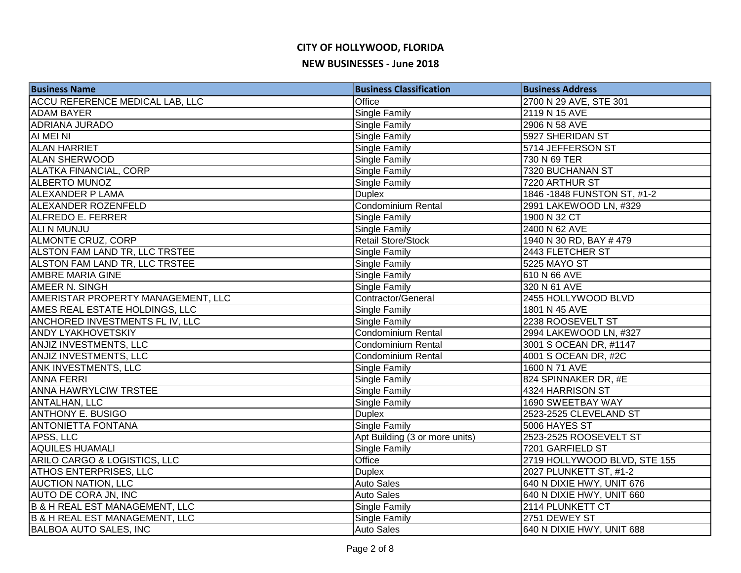# **CITY OF HOLLYWOOD, FLORIDA**

#### **NEW BUSINESSES - June 2018**

| <b>Business Name</b>                      | <b>Business Classification</b> | <b>Business Address</b>      |
|-------------------------------------------|--------------------------------|------------------------------|
| ACCU REFERENCE MEDICAL LAB, LLC           | Office                         | 2700 N 29 AVE, STE 301       |
| <b>ADAM BAYER</b>                         | <b>Single Family</b>           | 2119 N 15 AVE                |
| <b>ADRIANA JURADO</b>                     | <b>Single Family</b>           | 2906 N 58 AVE                |
| AI MEI NI                                 | Single Family                  | 5927 SHERIDAN ST             |
| <b>ALAN HARRIET</b>                       | <b>Single Family</b>           | 5714 JEFFERSON ST            |
| <b>ALAN SHERWOOD</b>                      | <b>Single Family</b>           | 730 N 69 TER                 |
| <b>ALATKA FINANCIAL, CORP</b>             | <b>Single Family</b>           | 7320 BUCHANAN ST             |
| <b>ALBERTO MUNOZ</b>                      | <b>Single Family</b>           | 7220 ARTHUR ST               |
| <b>ALEXANDER P LAMA</b>                   | <b>Duplex</b>                  | 1846 - 1848 FUNSTON ST, #1-2 |
| ALEXANDER ROZENFELD                       | Condominium Rental             | 2991 LAKEWOOD LN, #329       |
| <b>ALFREDO E. FERRER</b>                  | <b>Single Family</b>           | 1900 N 32 CT                 |
| ALI N MUNJU                               | Single Family                  | 2400 N 62 AVE                |
| ALMONTE CRUZ, CORP                        | <b>Retail Store/Stock</b>      | 1940 N 30 RD, BAY #479       |
| ALSTON FAM LAND TR, LLC TRSTEE            | Single Family                  | 2443 FLETCHER ST             |
| ALSTON FAM LAND TR, LLC TRSTEE            | <b>Single Family</b>           | 5225 MAYO ST                 |
| AMBRE MARIA GINE                          | Single Family                  | 610 N 66 AVE                 |
| AMEER N. SINGH                            | Single Family                  | 320 N 61 AVE                 |
| AMERISTAR PROPERTY MANAGEMENT, LLC        | Contractor/General             | 2455 HOLLYWOOD BLVD          |
| AMES REAL ESTATE HOLDINGS, LLC            | <b>Single Family</b>           | 1801 N 45 AVE                |
| ANCHORED INVESTMENTS FL IV, LLC           | Single Family                  | 2238 ROOSEVELT ST            |
| <b>ANDY LYAKHOVETSKIY</b>                 | Condominium Rental             | 2994 LAKEWOOD LN, #327       |
| ANJIZ INVESTMENTS, LLC                    | Condominium Rental             | 3001 S OCEAN DR, #1147       |
| ANJIZ INVESTMENTS, LLC                    | Condominium Rental             | 4001 S OCEAN DR, #2C         |
| ANK INVESTMENTS, LLC                      | Single Family                  | 1600 N 71 AVE                |
| <b>ANNA FERRI</b>                         | <b>Single Family</b>           | 824 SPINNAKER DR, #E         |
| <b>ANNA HAWRYLCIW TRSTEE</b>              | <b>Single Family</b>           | 4324 HARRISON ST             |
| <b>ANTALHAN, LLC</b>                      | <b>Single Family</b>           | 1690 SWEETBAY WAY            |
| <b>ANTHONY E. BUSIGO</b>                  | <b>Duplex</b>                  | 2523-2525 CLEVELAND ST       |
| <b>ANTONIETTA FONTANA</b>                 | <b>Single Family</b>           | 5006 HAYES ST                |
| APSS, LLC                                 | Apt Building (3 or more units) | 2523-2525 ROOSEVELT ST       |
| <b>AQUILES HUAMALI</b>                    | <b>Single Family</b>           | 7201 GARFIELD ST             |
| ARILO CARGO & LOGISTICS, LLC              | Office                         | 2719 HOLLYWOOD BLVD, STE 155 |
| <b>ATHOS ENTERPRISES, LLC</b>             | <b>Duplex</b>                  | 2027 PLUNKETT ST, #1-2       |
| <b>AUCTION NATION, LLC</b>                | <b>Auto Sales</b>              | 640 N DIXIE HWY, UNIT 676    |
| AUTO DE CORA JN, INC                      | <b>Auto Sales</b>              | 640 N DIXIE HWY, UNIT 660    |
| <b>B &amp; H REAL EST MANAGEMENT, LLC</b> | Single Family                  | 2114 PLUNKETT CT             |
| <b>B &amp; H REAL EST MANAGEMENT, LLC</b> | <b>Single Family</b>           | 2751 DEWEY ST                |
| <b>BALBOA AUTO SALES, INC</b>             | <b>Auto Sales</b>              | 640 N DIXIE HWY, UNIT 688    |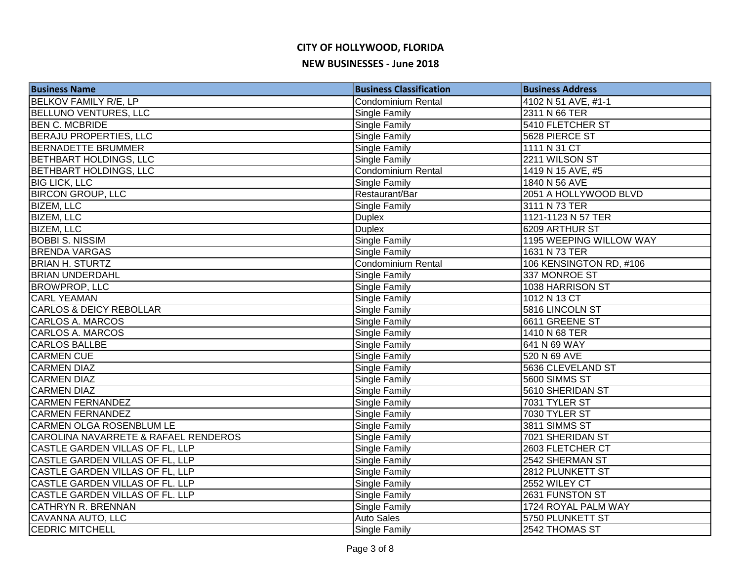| <b>Business Name</b>                 | <b>Business Classification</b> | <b>Business Address</b> |
|--------------------------------------|--------------------------------|-------------------------|
| <b>BELKOV FAMILY R/E, LP</b>         | <b>Condominium Rental</b>      | 4102 N 51 AVE, #1-1     |
| <b>BELLUNO VENTURES, LLC</b>         | Single Family                  | 2311 N 66 TER           |
| <b>BEN C. MCBRIDE</b>                | Single Family                  | 5410 FLETCHER ST        |
| <b>BERAJU PROPERTIES, LLC</b>        | Single Family                  | 5628 PIERCE ST          |
| <b>BERNADETTE BRUMMER</b>            | Single Family                  | 1111 N 31 CT            |
| <b>BETHBART HOLDINGS, LLC</b>        | Single Family                  | 2211 WILSON ST          |
| <b>BETHBART HOLDINGS, LLC</b>        | Condominium Rental             | 1419 N 15 AVE, #5       |
| <b>BIG LICK, LLC</b>                 | Single Family                  | 1840 N 56 AVE           |
| <b>BIRCON GROUP, LLC</b>             | Restaurant/Bar                 | 2051 A HOLLYWOOD BLVD   |
| <b>BIZEM, LLC</b>                    | Single Family                  | 3111 N 73 TER           |
| <b>BIZEM, LLC</b>                    | <b>Duplex</b>                  | 1121-1123 N 57 TER      |
| <b>BIZEM, LLC</b>                    | <b>Duplex</b>                  | 6209 ARTHUR ST          |
| <b>BOBBI S. NISSIM</b>               | Single Family                  | 1195 WEEPING WILLOW WAY |
| <b>BRENDA VARGAS</b>                 | Single Family                  | 1631 N 73 TER           |
| <b>BRIAN H. STURTZ</b>               | Condominium Rental             | 106 KENSINGTON RD, #106 |
| <b>BRIAN UNDERDAHL</b>               | Single Family                  | 337 MONROE ST           |
| <b>BROWPROP, LLC</b>                 | Single Family                  | 1038 HARRISON ST        |
| <b>CARL YEAMAN</b>                   | Single Family                  | 1012 N 13 CT            |
| CARLOS & DEICY REBOLLAR              | Single Family                  | 5816 LINCOLN ST         |
| CARLOS A. MARCOS                     | Single Family                  | 6611 GREENE ST          |
| CARLOS A. MARCOS                     | Single Family                  | 1410 N 68 TER           |
| CARLOS BALLBE                        | Single Family                  | 641 N 69 WAY            |
| <b>CARMEN CUE</b>                    | Single Family                  | 520 N 69 AVE            |
| <b>CARMEN DIAZ</b>                   | Single Family                  | 5636 CLEVELAND ST       |
| <b>CARMEN DIAZ</b>                   | Single Family                  | 5600 SIMMS ST           |
| <b>CARMEN DIAZ</b>                   | Single Family                  | 5610 SHERIDAN ST        |
| <b>CARMEN FERNANDEZ</b>              | Single Family                  | 7031 TYLER ST           |
| <b>CARMEN FERNANDEZ</b>              | Single Family                  | 7030 TYLER ST           |
| <b>CARMEN OLGA ROSENBLUM LE</b>      | Single Family                  | 3811 SIMMS ST           |
| CAROLINA NAVARRETE & RAFAEL RENDEROS | Single Family                  | 7021 SHERIDAN ST        |
| CASTLE GARDEN VILLAS OF FL, LLP      | Single Family                  | 2603 FLETCHER CT        |
| CASTLE GARDEN VILLAS OF FL, LLP      | Single Family                  | 2542 SHERMAN ST         |
| CASTLE GARDEN VILLAS OF FL, LLP      | Single Family                  | 2812 PLUNKETT ST        |
| CASTLE GARDEN VILLAS OF FL. LLP      | Single Family                  | 2552 WILEY CT           |
| CASTLE GARDEN VILLAS OF FL. LLP      | Single Family                  | 2631 FUNSTON ST         |
| <b>CATHRYN R. BRENNAN</b>            | Single Family                  | 1724 ROYAL PALM WAY     |
| CAVANNA AUTO, LLC                    | <b>Auto Sales</b>              | 5750 PLUNKETT ST        |
| <b>CEDRIC MITCHELL</b>               | Single Family                  | 2542 THOMAS ST          |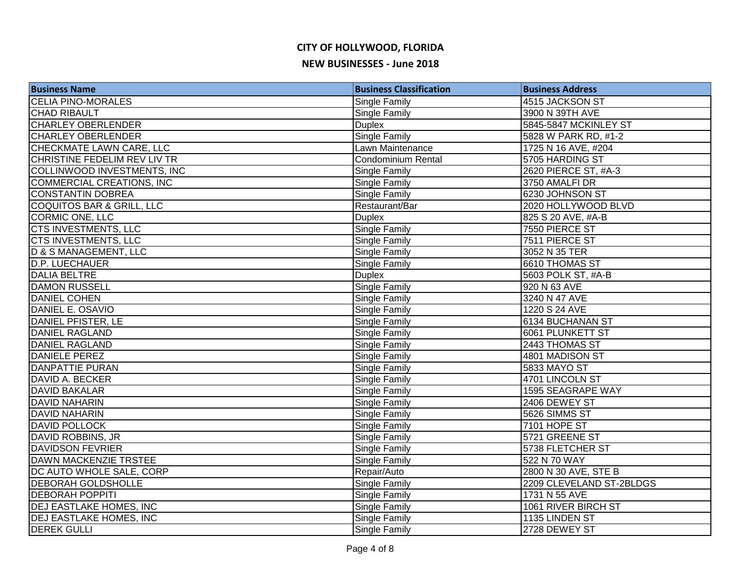| <b>Business Name</b>                 | <b>Business Classification</b> | <b>Business Address</b>  |
|--------------------------------------|--------------------------------|--------------------------|
| <b>CELIA PINO-MORALES</b>            | Single Family                  | 4515 JACKSON ST          |
| <b>CHAD RIBAULT</b>                  | Single Family                  | 3900 N 39TH AVE          |
| <b>CHARLEY OBERLENDER</b>            | <b>Duplex</b>                  | 5845-5847 MCKINLEY ST    |
| <b>CHARLEY OBERLENDER</b>            | <b>Single Family</b>           | 5828 W PARK RD, #1-2     |
| CHECKMATE LAWN CARE, LLC             | Lawn Maintenance               | 1725 N 16 AVE, #204      |
| CHRISTINE FEDELIM REV LIV TR         | <b>Condominium Rental</b>      | 5705 HARDING ST          |
| COLLINWOOD INVESTMENTS, INC          | Single Family                  | 2620 PIERCE ST, #A-3     |
| <b>COMMERCIAL CREATIONS, INC</b>     | Single Family                  | 3750 AMALFI DR           |
| <b>CONSTANTIN DOBREA</b>             | Single Family                  | 6230 JOHNSON ST          |
| <b>COQUITOS BAR &amp; GRILL, LLC</b> | Restaurant/Bar                 | 2020 HOLLYWOOD BLVD      |
| CORMIC ONE, LLC                      | <b>Duplex</b>                  | 825 S 20 AVE, #A-B       |
| <b>CTS INVESTMENTS, LLC</b>          | Single Family                  | 7550 PIERCE ST           |
| CTS INVESTMENTS, LLC                 | Single Family                  | 7511 PIERCE ST           |
| D & S MANAGEMENT, LLC                | Single Family                  | 3052 N 35 TER            |
| D.P. LUECHAUER                       | Single Family                  | 6610 THOMAS ST           |
| <b>DALIA BELTRE</b>                  | <b>Duplex</b>                  | 5603 POLK ST, #A-B       |
| <b>DAMON RUSSELL</b>                 | Single Family                  | 920 N 63 AVE             |
| <b>DANIEL COHEN</b>                  | Single Family                  | 3240 N 47 AVE            |
| DANIEL E. OSAVIO                     | Single Family                  | 1220 S 24 AVE            |
| DANIEL PFISTER, LE                   | Single Family                  | 6134 BUCHANAN ST         |
| <b>DANIEL RAGLAND</b>                | Single Family                  | 6061 PLUNKETT ST         |
| DANIEL RAGLAND                       | Single Family                  | 2443 THOMAS ST           |
| DANIELE PEREZ                        | Single Family                  | 4801 MADISON ST          |
| <b>DANPATTIE PURAN</b>               | Single Family                  | <b>5833 MAYO ST</b>      |
| DAVID A. BECKER                      | Single Family                  | 4701 LINCOLN ST          |
| <b>DAVID BAKALAR</b>                 | Single Family                  | 1595 SEAGRAPE WAY        |
| <b>DAVID NAHARIN</b>                 | Single Family                  | 2406 DEWEY ST            |
| <b>DAVID NAHARIN</b>                 | Single Family                  | 5626 SIMMS ST            |
| <b>DAVID POLLOCK</b>                 | Single Family                  | 7101 HOPE ST             |
| DAVID ROBBINS, JR                    | Single Family                  | 5721 GREENE ST           |
| <b>DAVIDSON FEVRIER</b>              | Single Family                  | 5738 FLETCHER ST         |
| DAWN MACKENZIE TRSTEE                | Single Family                  | 522 N 70 WAY             |
| DC AUTO WHOLE SALE, CORP             | Repair/Auto                    | 2800 N 30 AVE, STE B     |
| <b>DEBORAH GOLDSHOLLE</b>            | Single Family                  | 2209 CLEVELAND ST-2BLDGS |
| <b>DEBORAH POPPITI</b>               | Single Family                  | 1731 N 55 AVE            |
| <b>DEJ EASTLAKE HOMES, INC</b>       | Single Family                  | 1061 RIVER BIRCH ST      |
| <b>DEJ EASTLAKE HOMES, INC</b>       | Single Family                  | 1135 LINDEN ST           |
| <b>DEREK GULLI</b>                   | Single Family                  | 2728 DEWEY ST            |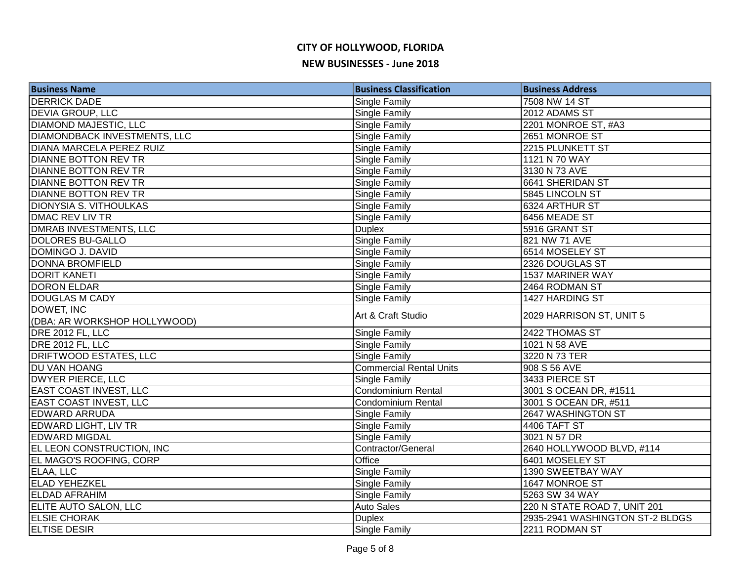| <b>Business Name</b>                | <b>Business Classification</b> | <b>Business Address</b>         |
|-------------------------------------|--------------------------------|---------------------------------|
| <b>DERRICK DADE</b>                 | Single Family                  | 7508 NW 14 ST                   |
| <b>DEVIA GROUP, LLC</b>             | Single Family                  | 2012 ADAMS ST                   |
| <b>DIAMOND MAJESTIC, LLC</b>        | Single Family                  | 2201 MONROE ST, #A3             |
| <b>DIAMONDBACK INVESTMENTS, LLC</b> | Single Family                  | 2651 MONROE ST                  |
| <b>DIANA MARCELA PEREZ RUIZ</b>     | <b>Single Family</b>           | 2215 PLUNKETT ST                |
| <b>DIANNE BOTTON REV TR</b>         | Single Family                  | 1121 N 70 WAY                   |
| <b>DIANNE BOTTON REV TR</b>         | <b>Single Family</b>           | 3130 N 73 AVE                   |
| <b>DIANNE BOTTON REV TR</b>         | <b>Single Family</b>           | 6641 SHERIDAN ST                |
| DIANNE BOTTON REV TR                | <b>Single Family</b>           | 5845 LINCOLN ST                 |
| <b>DIONYSIA S. VITHOULKAS</b>       | <b>Single Family</b>           | 6324 ARTHUR ST                  |
| DMAC REV LIV TR                     | Single Family                  | 6456 MEADE ST                   |
| DMRAB INVESTMENTS, LLC              | <b>Duplex</b>                  | 5916 GRANT ST                   |
| DOLORES BU-GALLO                    | Single Family                  | 821 NW 71 AVE                   |
| DOMINGO J. DAVID                    | <b>Single Family</b>           | 6514 MOSELEY ST                 |
| <b>DONNA BROMFIELD</b>              | Single Family                  | 2326 DOUGLAS ST                 |
| <b>DORIT KANETI</b>                 | <b>Single Family</b>           | 1537 MARINER WAY                |
| <b>DORON ELDAR</b>                  | <b>Single Family</b>           | 2464 RODMAN ST                  |
| <b>DOUGLAS M CADY</b>               | Single Family                  | 1427 HARDING ST                 |
| DOWET, INC                          | Art & Craft Studio             | 2029 HARRISON ST, UNIT 5        |
| (DBA: AR WORKSHOP HOLLYWOOD)        |                                |                                 |
| DRE 2012 FL, LLC                    | <b>Single Family</b>           | 2422 THOMAS ST                  |
| DRE 2012 FL, LLC                    | Single Family                  | 1021 N 58 AVE                   |
| <b>DRIFTWOOD ESTATES, LLC</b>       | Single Family                  | 3220 N 73 TER                   |
| DU VAN HOANG                        | <b>Commercial Rental Units</b> | 908 S 56 AVE                    |
| <b>DWYER PIERCE, LLC</b>            | Single Family                  | 3433 PIERCE ST                  |
| <b>EAST COAST INVEST, LLC</b>       | Condominium Rental             | 3001 S OCEAN DR, #1511          |
| <b>EAST COAST INVEST, LLC</b>       | Condominium Rental             | 3001 S OCEAN DR, #511           |
| <b>EDWARD ARRUDA</b>                | <b>Single Family</b>           | 2647 WASHINGTON ST              |
| <b>EDWARD LIGHT, LIV TR</b>         | <b>Single Family</b>           | 4406 TAFT ST                    |
| <b>EDWARD MIGDAL</b>                | <b>Single Family</b>           | 3021 N 57 DR                    |
| EL LEON CONSTRUCTION, INC           | Contractor/General             | 2640 HOLLYWOOD BLVD, #114       |
| EL MAGO'S ROOFING, CORP             | Office                         | 6401 MOSELEY ST                 |
| ELAA, LLC                           | Single Family                  | 1390 SWEETBAY WAY               |
| <b>ELAD YEHEZKEL</b>                | <b>Single Family</b>           | 1647 MONROE ST                  |
| <b>ELDAD AFRAHIM</b>                | <b>Single Family</b>           | 5263 SW 34 WAY                  |
| ELITE AUTO SALON, LLC               | <b>Auto Sales</b>              | 220 N STATE ROAD 7, UNIT 201    |
| <b>ELSIE CHORAK</b>                 | <b>Duplex</b>                  | 2935-2941 WASHINGTON ST-2 BLDGS |
| <b>ELTISE DESIR</b>                 | <b>Single Family</b>           | 2211 RODMAN ST                  |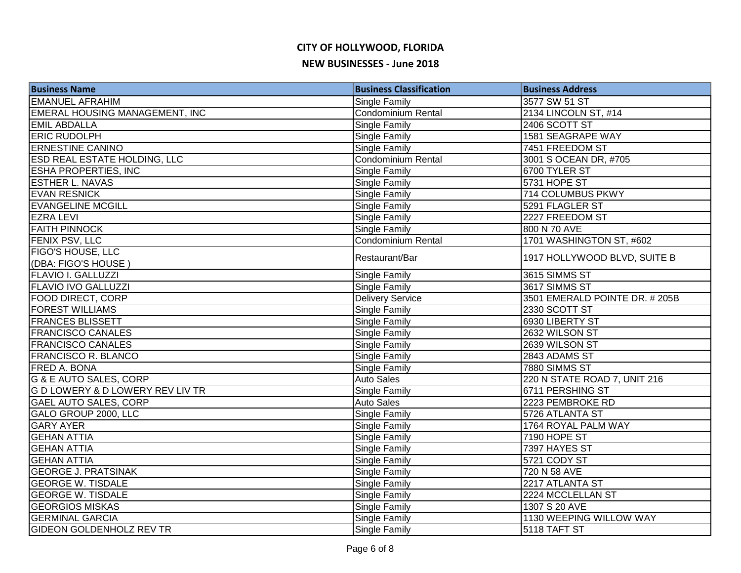## **CITY OF HOLLYWOOD, FLORIDA**

#### **NEW BUSINESSES - June 2018**

| <b>Business Name</b>                  | <b>Business Classification</b> | <b>Business Address</b>       |
|---------------------------------------|--------------------------------|-------------------------------|
| <b>EMANUEL AFRAHIM</b>                | Single Family                  | 3577 SW 51 ST                 |
| <b>EMERAL HOUSING MANAGEMENT, INC</b> | <b>Condominium Rental</b>      | 2134 LINCOLN ST, #14          |
| <b>EMIL ABDALLA</b>                   | Single Family                  | 2406 SCOTT ST                 |
| <b>ERIC RUDOLPH</b>                   | Single Family                  | 1581 SEAGRAPE WAY             |
| <b>ERNESTINE CANINO</b>               | <b>Single Family</b>           | 7451 FREEDOM ST               |
| <b>ESD REAL ESTATE HOLDING, LLC</b>   | Condominium Rental             | 3001 S OCEAN DR, #705         |
| <b>ESHA PROPERTIES, INC</b>           | <b>Single Family</b>           | 6700 TYLER ST                 |
| <b>ESTHER L. NAVAS</b>                | <b>Single Family</b>           | 5731 HOPE ST                  |
| <b>EVAN RESNICK</b>                   | <b>Single Family</b>           | 714 COLUMBUS PKWY             |
| <b>EVANGELINE MCGILL</b>              | <b>Single Family</b>           | 5291 FLAGLER ST               |
| <b>EZRA LEVI</b>                      | <b>Single Family</b>           | 2227 FREEDOM ST               |
| <b>FAITH PINNOCK</b>                  | Single Family                  | 800 N 70 AVE                  |
| FENIX PSV, LLC                        | Condominium Rental             | 1701 WASHINGTON ST, #602      |
| FIGO'S HOUSE, LLC                     | Restaurant/Bar                 | 1917 HOLLYWOOD BLVD, SUITE B  |
| (DBA: FIGO'S HOUSE)                   |                                |                               |
| <b>FLAVIO I. GALLUZZI</b>             | <b>Single Family</b>           | 3615 SIMMS ST                 |
| <b>FLAVIO IVO GALLUZZI</b>            | <b>Single Family</b>           | 3617 SIMMS ST                 |
| FOOD DIRECT, CORP                     | <b>Delivery Service</b>        | 3501 EMERALD POINTE DR. #205B |
| <b>FOREST WILLIAMS</b>                | <b>Single Family</b>           | 2330 SCOTT ST                 |
| <b>FRANCES BLISSETT</b>               | <b>Single Family</b>           | 6930 LIBERTY ST               |
| <b>FRANCISCO CANALES</b>              | <b>Single Family</b>           | 2632 WILSON ST                |
| <b>FRANCISCO CANALES</b>              | <b>Single Family</b>           | 2639 WILSON ST                |
| FRANCISCO R. BLANCO                   | Single Family                  | 2843 ADAMS ST                 |
| FRED A. BONA                          | Single Family                  | 7880 SIMMS ST                 |
| G & E AUTO SALES, CORP                | <b>Auto Sales</b>              | 220 N STATE ROAD 7, UNIT 216  |
| G D LOWERY & D LOWERY REV LIV TR      | Single Family                  | 6711 PERSHING ST              |
| <b>GAEL AUTO SALES, CORP</b>          | <b>Auto Sales</b>              | 2223 PEMBROKE RD              |
| GALO GROUP 2000, LLC                  | Single Family                  | 5726 ATLANTA ST               |
| <b>GARY AYER</b>                      | Single Family                  | 1764 ROYAL PALM WAY           |
| <b>GEHAN ATTIA</b>                    | Single Family                  | 7190 HOPE ST                  |
| <b>GEHAN ATTIA</b>                    | <b>Single Family</b>           | 7397 HAYES ST                 |
| <b>GEHAN ATTIA</b>                    | <b>Single Family</b>           | 5721 CODY ST                  |
| <b>GEORGE J. PRATSINAK</b>            | Single Family                  | 720 N 58 AVE                  |
| <b>GEORGE W. TISDALE</b>              | Single Family                  | 2217 ATLANTA ST               |
| <b>GEORGE W. TISDALE</b>              | Single Family                  | 2224 MCCLELLAN ST             |
| <b>GEORGIOS MISKAS</b>                | Single Family                  | 1307 S 20 AVE                 |
| <b>GERMINAL GARCIA</b>                | Single Family                  | 1130 WEEPING WILLOW WAY       |
| <b>GIDEON GOLDENHOLZ REV TR</b>       | <b>Single Family</b>           | 5118 TAFT ST                  |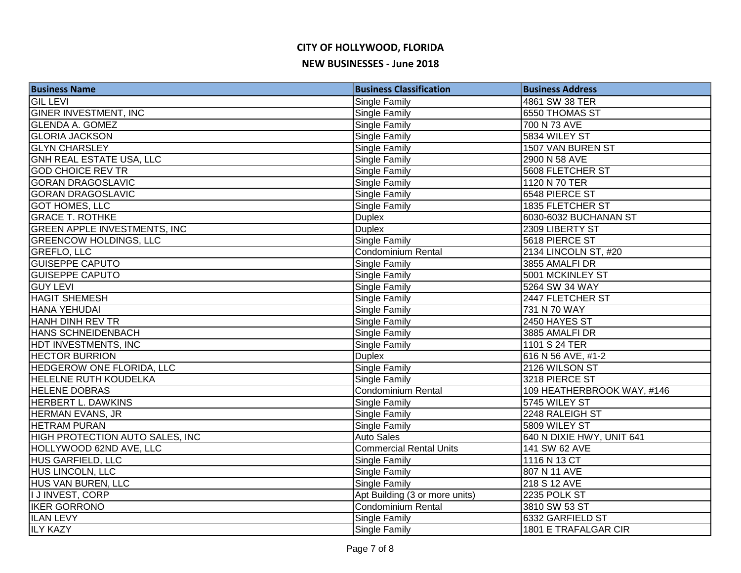| <b>Business Name</b>                   | <b>Business Classification</b> | <b>Business Address</b>    |
|----------------------------------------|--------------------------------|----------------------------|
| <b>GIL LEVI</b>                        | Single Family                  | 4861 SW 38 TER             |
| <b>GINER INVESTMENT, INC</b>           | Single Family                  | 6550 THOMAS ST             |
| <b>GLENDA A. GOMEZ</b>                 | Single Family                  | 700 N 73 AVE               |
| <b>GLORIA JACKSON</b>                  | <b>Single Family</b>           | 5834 WILEY ST              |
| <b>GLYN CHARSLEY</b>                   | Single Family                  | 1507 VAN BUREN ST          |
| GNH REAL ESTATE USA, LLC               | <b>Single Family</b>           | 2900 N 58 AVE              |
| <b>GOD CHOICE REV TR</b>               | Single Family                  | 5608 FLETCHER ST           |
| <b>GORAN DRAGOSLAVIC</b>               | <b>Single Family</b>           | 1120 N 70 TER              |
| <b>GORAN DRAGOSLAVIC</b>               | Single Family                  | 6548 PIERCE ST             |
| <b>GOT HOMES, LLC</b>                  | Single Family                  | 1835 FLETCHER ST           |
| <b>GRACE T. ROTHKE</b>                 | <b>Duplex</b>                  | 6030-6032 BUCHANAN ST      |
| <b>GREEN APPLE INVESTMENTS, INC</b>    | <b>Duplex</b>                  | 2309 LIBERTY ST            |
| <b>GREENCOW HOLDINGS, LLC</b>          | Single Family                  | 5618 PIERCE ST             |
| <b>GREFLO, LLC</b>                     | <b>Condominium Rental</b>      | 2134 LINCOLN ST, #20       |
| <b>GUISEPPE CAPUTO</b>                 | Single Family                  | 3855 AMALFI DR             |
| <b>GUISEPPE CAPUTO</b>                 | Single Family                  | 5001 MCKINLEY ST           |
| <b>GUY LEVI</b>                        | <b>Single Family</b>           | 5264 SW 34 WAY             |
| <b>HAGIT SHEMESH</b>                   | Single Family                  | 2447 FLETCHER ST           |
| HANA YEHUDAI                           | Single Family                  | 731 N 70 WAY               |
| HANH DINH REV TR                       | Single Family                  | 2450 HAYES ST              |
| HANS SCHNEIDENBACH                     | <b>Single Family</b>           | 3885 AMALFI DR             |
| HDT INVESTMENTS, INC                   | Single Family                  | 1101 S 24 TER              |
| <b>HECTOR BURRION</b>                  | <b>Duplex</b>                  | 616 N 56 AVE, #1-2         |
| <b>HEDGEROW ONE FLORIDA, LLC</b>       | <b>Single Family</b>           | 2126 WILSON ST             |
| <b>HELELNE RUTH KOUDELKA</b>           | <b>Single Family</b>           | 3218 PIERCE ST             |
| <b>HELENE DOBRAS</b>                   | <b>Condominium Rental</b>      | 109 HEATHERBROOK WAY, #146 |
| <b>HERBERT L. DAWKINS</b>              | Single Family                  | 5745 WILEY ST              |
| <b>HERMAN EVANS, JR</b>                | <b>Single Family</b>           | 2248 RALEIGH ST            |
| <b>HETRAM PURAN</b>                    | <b>Single Family</b>           | 5809 WILEY ST              |
| <b>HIGH PROTECTION AUTO SALES, INC</b> | <b>Auto Sales</b>              | 640 N DIXIE HWY, UNIT 641  |
| HOLLYWOOD 62ND AVE, LLC                | <b>Commercial Rental Units</b> | 141 SW 62 AVE              |
| <b>HUS GARFIELD, LLC</b>               | Single Family                  | 1116 N 13 CT               |
| HUS LINCOLN, LLC                       | Single Family                  | 807 N 11 AVE               |
| HUS VAN BUREN, LLC                     | Single Family                  | 218 S 12 AVE               |
| I J INVEST, CORP                       | Apt Building (3 or more units) | 2235 POLK ST               |
| <b>IKER GORRONO</b>                    | <b>Condominium Rental</b>      | 3810 SW 53 ST              |
| <b>ILAN LEVY</b>                       | <b>Single Family</b>           | 6332 GARFIELD ST           |
| <b>ILY KAZY</b>                        | <b>Single Family</b>           | 1801 E TRAFALGAR CIR       |